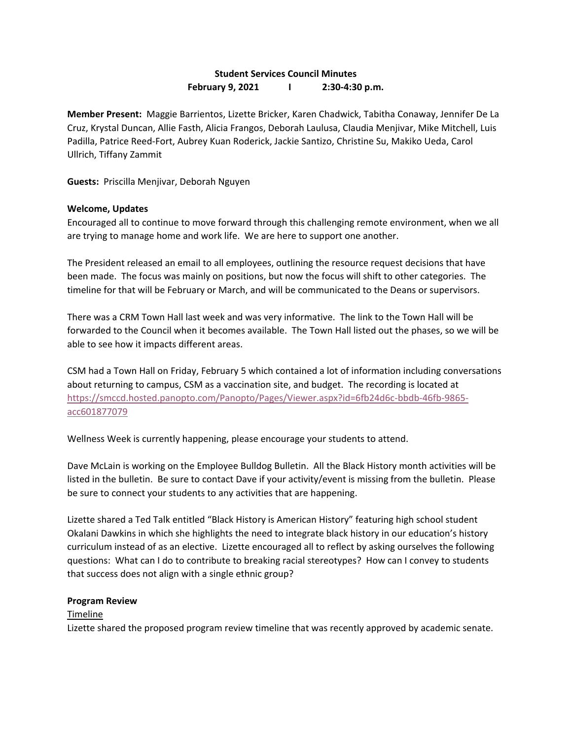# **Student Services Council Minutes February 9, 2021 I 2:30-4:30 p.m.**

**Member Present:** Maggie Barrientos, Lizette Bricker, Karen Chadwick, Tabitha Conaway, Jennifer De La Cruz, Krystal Duncan, Allie Fasth, Alicia Frangos, Deborah Laulusa, Claudia Menjivar, Mike Mitchell, Luis Padilla, Patrice Reed-Fort, Aubrey Kuan Roderick, Jackie Santizo, Christine Su, Makiko Ueda, Carol Ullrich, Tiffany Zammit

**Guests:** Priscilla Menjivar, Deborah Nguyen

### **Welcome, Updates**

Encouraged all to continue to move forward through this challenging remote environment, when we all are trying to manage home and work life. We are here to support one another.

The President released an email to all employees, outlining the resource request decisions that have been made. The focus was mainly on positions, but now the focus will shift to other categories. The timeline for that will be February or March, and will be communicated to the Deans or supervisors.

There was a CRM Town Hall last week and was very informative. The link to the Town Hall will be forwarded to the Council when it becomes available. The Town Hall listed out the phases, so we will be able to see how it impacts different areas.

CSM had a Town Hall on Friday, February 5 which contained a lot of information including conversations about returning to campus, CSM as a vaccination site, and budget. The recording is located at [https://smccd.hosted.panopto.com/Panopto/Pages/Viewer.aspx?id=6fb24d6c-bbdb-46fb-9865](https://smccd.hosted.panopto.com/Panopto/Pages/Viewer.aspx?id=6fb24d6c-bbdb-46fb-9865-acc601877079) [acc601877079](https://smccd.hosted.panopto.com/Panopto/Pages/Viewer.aspx?id=6fb24d6c-bbdb-46fb-9865-acc601877079)

Wellness Week is currently happening, please encourage your students to attend.

Dave McLain is working on the Employee Bulldog Bulletin. All the Black History month activities will be listed in the bulletin. Be sure to contact Dave if your activity/event is missing from the bulletin. Please be sure to connect your students to any activities that are happening.

Lizette shared a Ted Talk entitled "Black History is American History" featuring high school student Okalani Dawkins in which she highlights the need to integrate black history in our education's history curriculum instead of as an elective. Lizette encouraged all to reflect by asking ourselves the following questions: What can I do to contribute to breaking racial stereotypes? How can I convey to students that success does not align with a single ethnic group?

#### **Program Review**

#### Timeline

Lizette shared the proposed program review timeline that was recently approved by academic senate.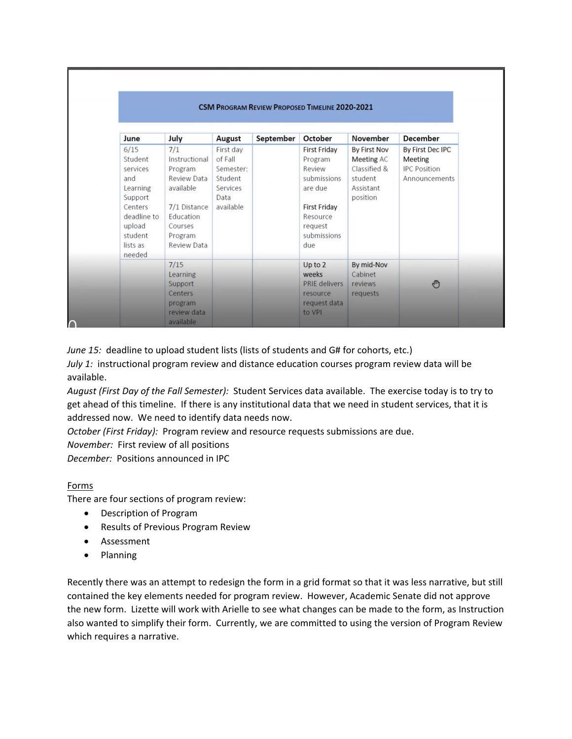| <b>CSM PROGRAM REVIEW PROPOSED TIMELINE 2020-2021</b>                                                                          |                                                                                                                                      |                                                                               |           |                                                                                                                                        |                                                                                |                                                                     |
|--------------------------------------------------------------------------------------------------------------------------------|--------------------------------------------------------------------------------------------------------------------------------------|-------------------------------------------------------------------------------|-----------|----------------------------------------------------------------------------------------------------------------------------------------|--------------------------------------------------------------------------------|---------------------------------------------------------------------|
| June                                                                                                                           | July                                                                                                                                 | August                                                                        | September | October                                                                                                                                | November                                                                       | <b>December</b>                                                     |
| 6/15<br>Student<br>services<br>and<br>Learning<br>Support<br>Centers<br>deadline to<br>upload<br>student<br>lists as<br>needed | 7/1<br>Instructional<br>Program<br>Review Data<br>available<br>7/1 Distance<br>Education<br>Courses<br>Program<br><b>Review Data</b> | First day<br>of Fall<br>Semester:<br>Student<br>Services<br>Data<br>available |           | <b>First Friday</b><br>Program<br>Review<br>submissions<br>are due<br><b>First Friday</b><br>Resource<br>request<br>submissions<br>due | By First Nov<br>Meeting AC<br>Classified &<br>student<br>Assistant<br>position | By First Dec IPC<br>Meeting<br><b>IPC Position</b><br>Announcements |
|                                                                                                                                | 7/15                                                                                                                                 |                                                                               |           | Up to 2                                                                                                                                | By mid-Nov                                                                     |                                                                     |
|                                                                                                                                | Learning<br>Support<br>Centers<br>program<br>review data<br>available                                                                |                                                                               |           | weeks<br><b>PRIE delivers</b><br>resource<br>request data<br>to VPI                                                                    | Cabinet<br>reviews<br>requests                                                 | $\mathbb{C}$                                                        |

*June 15:* deadline to upload student lists (lists of students and G# for cohorts, etc.)

*July 1:* instructional program review and distance education courses program review data will be available.

*August (First Day of the Fall Semester):* Student Services data available. The exercise today is to try to get ahead of this timeline. If there is any institutional data that we need in student services, that it is addressed now. We need to identify data needs now.

*October (First Friday):* Program review and resource requests submissions are due.

*November:* First review of all positions

*December:* Positions announced in IPC

# Forms

There are four sections of program review:

- Description of Program
- Results of Previous Program Review
- Assessment
- Planning

Recently there was an attempt to redesign the form in a grid format so that it was less narrative, but still contained the key elements needed for program review. However, Academic Senate did not approve the new form. Lizette will work with Arielle to see what changes can be made to the form, as Instruction also wanted to simplify their form. Currently, we are committed to using the version of Program Review which requires a narrative.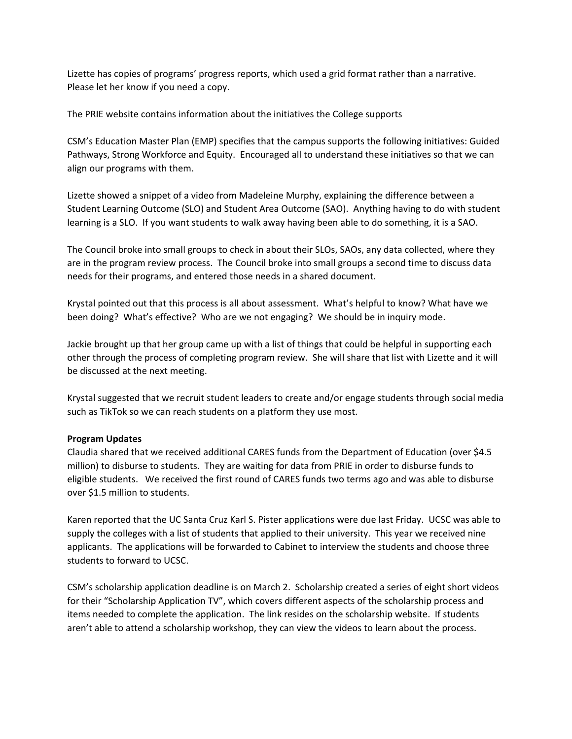Lizette has copies of programs' progress reports, which used a grid format rather than a narrative. Please let her know if you need a copy.

The PRIE website contains information about the initiatives the College supports

CSM's Education Master Plan (EMP) specifies that the campus supports the following initiatives: Guided Pathways, Strong Workforce and Equity. Encouraged all to understand these initiatives so that we can align our programs with them.

Lizette showed a snippet of a video from Madeleine Murphy, explaining the difference between a Student Learning Outcome (SLO) and Student Area Outcome (SAO). Anything having to do with student learning is a SLO. If you want students to walk away having been able to do something, it is a SAO.

The Council broke into small groups to check in about their SLOs, SAOs, any data collected, where they are in the program review process. The Council broke into small groups a second time to discuss data needs for their programs, and entered those needs in a shared document.

Krystal pointed out that this process is all about assessment. What's helpful to know? What have we been doing? What's effective? Who are we not engaging? We should be in inquiry mode.

Jackie brought up that her group came up with a list of things that could be helpful in supporting each other through the process of completing program review. She will share that list with Lizette and it will be discussed at the next meeting.

Krystal suggested that we recruit student leaders to create and/or engage students through social media such as TikTok so we can reach students on a platform they use most.

# **Program Updates**

Claudia shared that we received additional CARES funds from the Department of Education (over \$4.5 million) to disburse to students. They are waiting for data from PRIE in order to disburse funds to eligible students. We received the first round of CARES funds two terms ago and was able to disburse over \$1.5 million to students.

Karen reported that the UC Santa Cruz Karl S. Pister applications were due last Friday. UCSC was able to supply the colleges with a list of students that applied to their university. This year we received nine applicants. The applications will be forwarded to Cabinet to interview the students and choose three students to forward to UCSC.

CSM's scholarship application deadline is on March 2. Scholarship created a series of eight short videos for their "Scholarship Application TV", which covers different aspects of the scholarship process and items needed to complete the application. The link resides on the scholarship website. If students aren't able to attend a scholarship workshop, they can view the videos to learn about the process.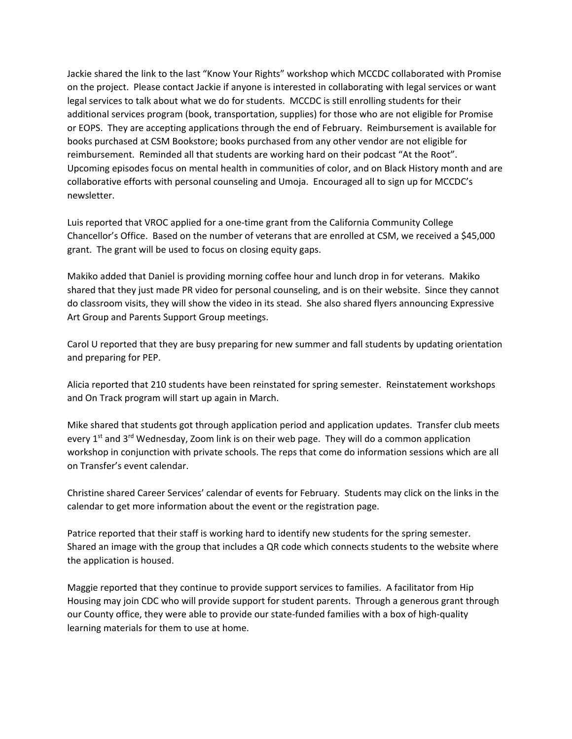Jackie shared the link to the last "Know Your Rights" workshop which MCCDC collaborated with Promise on the project. Please contact Jackie if anyone is interested in collaborating with legal services or want legal services to talk about what we do for students. MCCDC is still enrolling students for their additional services program (book, transportation, supplies) for those who are not eligible for Promise or EOPS. They are accepting applications through the end of February. Reimbursement is available for books purchased at CSM Bookstore; books purchased from any other vendor are not eligible for reimbursement. Reminded all that students are working hard on their podcast "At the Root". Upcoming episodes focus on mental health in communities of color, and on Black History month and are collaborative efforts with personal counseling and Umoja. Encouraged all to sign up for MCCDC's newsletter.

Luis reported that VROC applied for a one-time grant from the California Community College Chancellor's Office. Based on the number of veterans that are enrolled at CSM, we received a \$45,000 grant. The grant will be used to focus on closing equity gaps.

Makiko added that Daniel is providing morning coffee hour and lunch drop in for veterans. Makiko shared that they just made PR video for personal counseling, and is on their website. Since they cannot do classroom visits, they will show the video in its stead. She also shared flyers announcing Expressive Art Group and Parents Support Group meetings.

Carol U reported that they are busy preparing for new summer and fall students by updating orientation and preparing for PEP.

Alicia reported that 210 students have been reinstated for spring semester. Reinstatement workshops and On Track program will start up again in March.

Mike shared that students got through application period and application updates. Transfer club meets every 1<sup>st</sup> and 3<sup>rd</sup> Wednesday, Zoom link is on their web page. They will do a common application workshop in conjunction with private schools. The reps that come do information sessions which are all on Transfer's event calendar.

Christine shared Career Services' calendar of events for February. Students may click on the links in the calendar to get more information about the event or the registration page.

Patrice reported that their staff is working hard to identify new students for the spring semester. Shared an image with the group that includes a QR code which connects students to the website where the application is housed.

Maggie reported that they continue to provide support services to families. A facilitator from Hip Housing may join CDC who will provide support for student parents. Through a generous grant through our County office, they were able to provide our state-funded families with a box of high-quality learning materials for them to use at home.